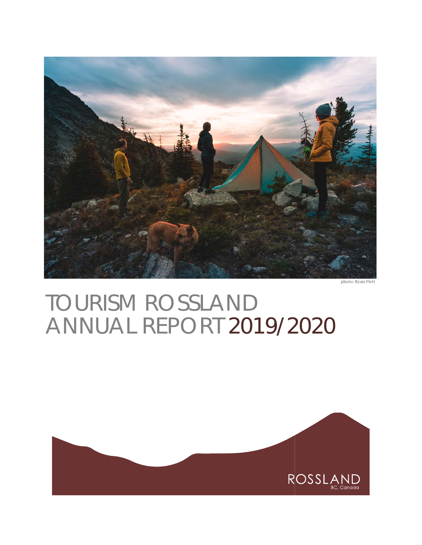

photo: Ryan Flett

# TOURISM ROSSLAND ANNUAL REPORT 2019/2020

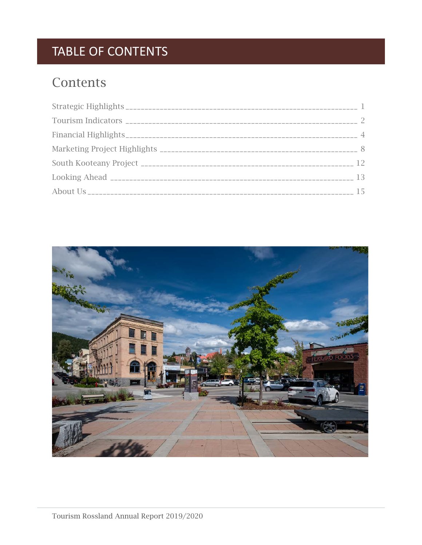# TABLE OF CONTENTS

# **Contents**

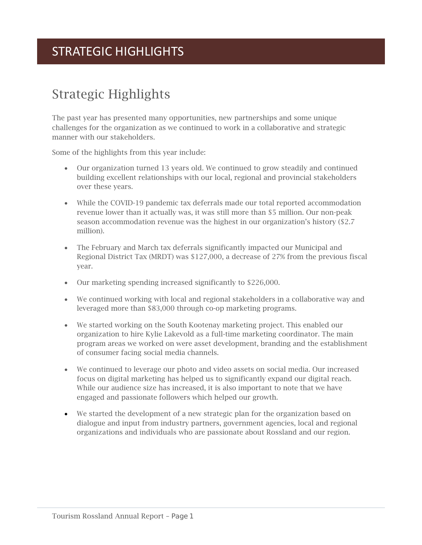# STRATEGIC HIGHLIGHTS

# <span id="page-2-0"></span>Strategic Highlights

The past year has presented many opportunities, new partnerships and some unique challenges for the organization as we continued to work in a collaborative and strategic manner with our stakeholders.

Some of the highlights from this year include:

- Our organization turned 13 years old. We continued to grow steadily and continued building excellent relationships with our local, regional and provincial stakeholders over these years.
- While the COVID-19 pandemic tax deferrals made our total reported accommodation revenue lower than it actually was, it was still more than \$5 million. Our non-peak season accommodation revenue was the highest in our organization's history (\$2.7 million).
- The February and March tax deferrals significantly impacted our Municipal and Regional District Tax (MRDT) was \$127,000, a decrease of 27% from the previous fiscal year.
- Our marketing spending increased significantly to \$226,000.
- We continued working with local and regional stakeholders in a collaborative way and leveraged more than \$83,000 through co-op marketing programs.
- We started working on the South Kootenay marketing project. This enabled our organization to hire Kylie Lakevold as a full-time marketing coordinator. The main program areas we worked on were asset development, branding and the establishment of consumer facing social media channels.
- We continued to leverage our photo and video assets on social media. Our increased focus on digital marketing has helped us to significantly expand our digital reach. While our audience size has increased, it is also important to note that we have engaged and passionate followers which helped our growth.
- We started the development of a new strategic plan for the organization based on dialogue and input from industry partners, government agencies, local and regional organizations and individuals who are passionate about Rossland and our region.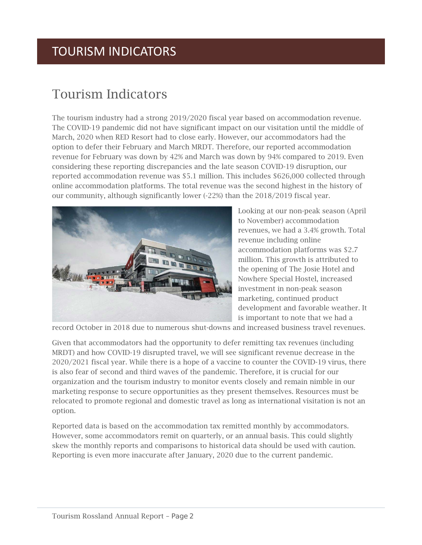# TOURISM INDICATORS

# <span id="page-3-0"></span>Tourism Indicators

The tourism industry had a strong 2019/2020 fiscal year based on accommodation revenue. The COVID-19 pandemic did not have significant impact on our visitation until the middle of March, 2020 when RED Resort had to close early. However, our accommodators had the option to defer their February and March MRDT. Therefore, our reported accommodation revenue for February was down by 42% and March was down by 94% compared to 2019. Even considering these reporting discrepancies and the late season COVID-19 disruption, our reported accommodation revenue was \$5.1 million. This includes \$626,000 collected through online accommodation platforms. The total revenue was the second highest in the history of our community, although significantly lower (-22%) than the 2018/2019 fiscal year.



Looking at our non-peak season (April to November) accommodation revenues, we had a 3.4% growth. Total revenue including online accommodation platforms was \$2.7 million. This growth is attributed to the opening of The Josie Hotel and Nowhere Special Hostel, increased investment in non-peak season marketing, continued product development and favorable weather. It is important to note that we had a

record October in 2018 due to numerous shut-downs and increased business travel revenues.

Given that accommodators had the opportunity to defer remitting tax revenues (including MRDT) and how COVID-19 disrupted travel, we will see significant revenue decrease in the 2020/2021 fiscal year. While there is a hope of a vaccine to counter the COVID-19 virus, there is also fear of second and third waves of the pandemic. Therefore, it is crucial for our organization and the tourism industry to monitor events closely and remain nimble in our marketing response to secure opportunities as they present themselves. Resources must be relocated to promote regional and domestic travel as long as international visitation is not an option.

Reported data is based on the accommodation tax remitted monthly by accommodators. However, some accommodators remit on quarterly, or an annual basis. This could slightly skew the monthly reports and comparisons to historical data should be used with caution. Reporting is even more inaccurate after January, 2020 due to the current pandemic.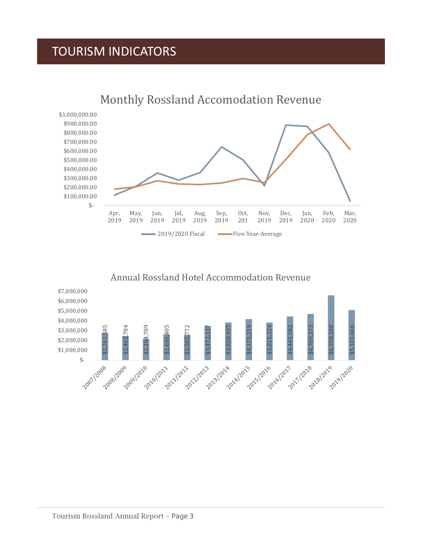# TOURISM INDICATORS





### Annual Rossland Hotel Accommodation Revenue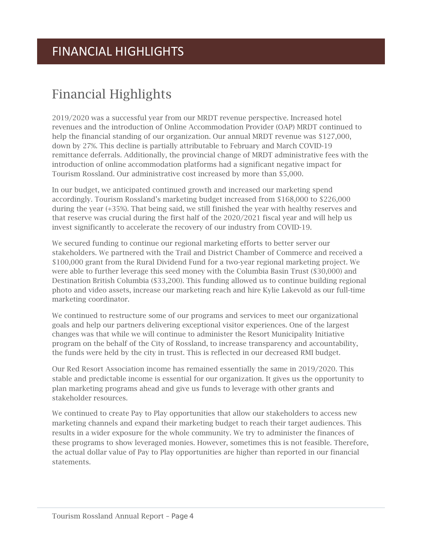# <span id="page-5-0"></span>Financial Highlights

2019/2020 was a successful year from our MRDT revenue perspective. Increased hotel revenues and the introduction of Online Accommodation Provider (OAP) MRDT continued to help the financial standing of our organization. Our annual MRDT revenue was \$127,000, down by 27%. This decline is partially attributable to February and March COVID-19 remittance deferrals. Additionally, the provincial change of MRDT administrative fees with the introduction of online accommodation platforms had a significant negative impact for Tourism Rossland. Our administrative cost increased by more than \$5,000.

In our budget, we anticipated continued growth and increased our marketing spend accordingly. Tourism Rossland's marketing budget increased from \$168,000 to \$226,000 during the year (+35%). That being said, we still finished the year with healthy reserves and that reserve was crucial during the first half of the 2020/2021 fiscal year and will help us invest significantly to accelerate the recovery of our industry from COVID-19.

We secured funding to continue our regional marketing efforts to better server our stakeholders. We partnered with the Trail and District Chamber of Commerce and received a \$100,000 grant from the Rural Dividend Fund for a two-year regional marketing project. We were able to further leverage this seed money with the Columbia Basin Trust (\$30,000) and Destination British Columbia (\$33,200). This funding allowed us to continue building regional photo and video assets, increase our marketing reach and hire Kylie Lakevold as our full-time marketing coordinator.

We continued to restructure some of our programs and services to meet our organizational goals and help our partners delivering exceptional visitor experiences. One of the largest changes was that while we will continue to administer the Resort Municipality Initiative program on the behalf of the City of Rossland, to increase transparency and accountability, the funds were held by the city in trust. This is reflected in our decreased RMI budget.

Our Red Resort Association income has remained essentially the same in 2019/2020. This stable and predictable income is essential for our organization. It gives us the opportunity to plan marketing programs ahead and give us funds to leverage with other grants and stakeholder resources.

We continued to create Pay to Play opportunities that allow our stakeholders to access new marketing channels and expand their marketing budget to reach their target audiences. This results in a wider exposure for the whole community. We try to administer the finances of these programs to show leveraged monies. However, sometimes this is not feasible. Therefore, the actual dollar value of Pay to Play opportunities are higher than reported in our financial statements.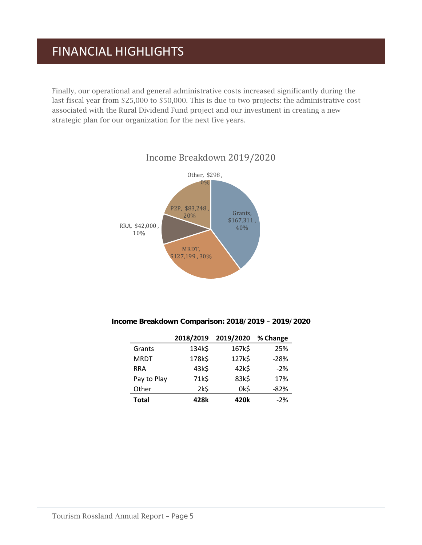# FINANCIAL HIGHLIGHTS

Finally, our operational and general administrative costs increased significantly during the last fiscal year from \$25,000 to \$50,000. This is due to two projects: the administrative cost associated with the Rural Dividend Fund project and our investment in creating a new strategic plan for our organization for the next five years.



### Income Breakdown 2019/2020

Income Breakdown Comparison: 2018/2019 – 2019/2020

|              | 2018/2019 | 2019/2020 | % Change |
|--------------|-----------|-----------|----------|
| Grants       | 134k\$    | 167k\$    | 25%      |
| <b>MRDT</b>  | 178k\$    | 127k\$    | $-28%$   |
| <b>RRA</b>   | 43k\$     | 42k\$     | $-2%$    |
| Pay to Play  | 71k\$     | 83k\$     | 17%      |
| Other        | 2k\$      | 0k\$      | $-82%$   |
| <b>Total</b> | 428k      | 420k      | $-2%$    |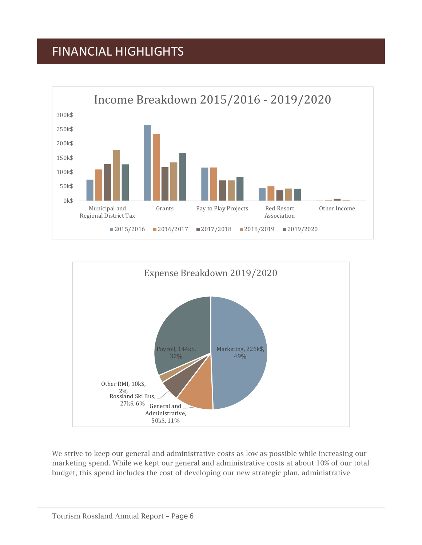# FINANCIAL HIGHLIGHTS





We strive to keep our general and administrative costs as low as possible while increasing our marketing spend. While we kept our general and administrative costs at about 10% of our total budget, this spend includes the cost of developing our new strategic plan, administrative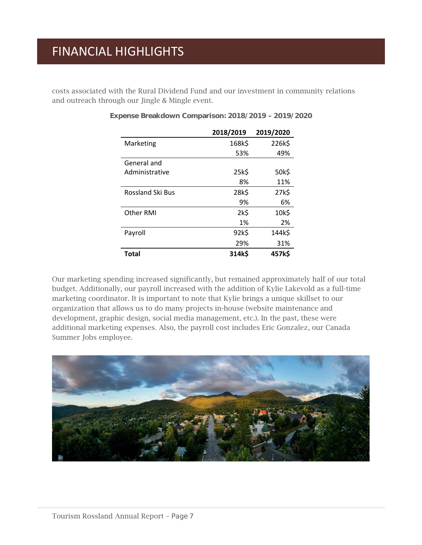# FINANCIAL HIGHLIGHTS

costs associated with the Rural Dividend Fund and our investment in community relations and outreach through our Jingle & Mingle event.

|                         | 2018/2019 | 2019/2020 |
|-------------------------|-----------|-----------|
| Marketing               | 168k\$    | 226k\$    |
|                         | 53%       | 49%       |
| General and             |           |           |
| Administrative          | 25k\$     | 50k\$     |
|                         | 8%        | 11%       |
| <b>Rossland Ski Bus</b> | 28k\$     | 27k\$     |
|                         | 9%        | 6%        |
| Other RMI               | 2k5       | 10k\$     |
|                         | 1%        | 2%        |
| Payroll                 | 92k\$     | 144k\$    |
|                         | 29%       | 31%       |
| Total                   | 314k\$    | 457k\$    |

### Expense Breakdown Comparison: 2018/2019 – 2019/2020

Our marketing spending increased significantly, but remained approximately half of our total budget. Additionally, our payroll increased with the addition of Kylie Lakevold as a full-time marketing coordinator. It is important to note that Kylie brings a unique skillset to our organization that allows us to do many projects in-house (website maintenance and development, graphic design, social media management, etc.). In the past, these were additional marketing expenses. Also, the payroll cost includes Eric Gonzalez, our Canada Summer Jobs employee.

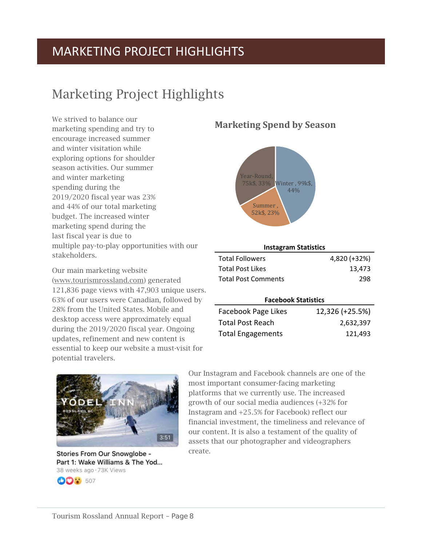# <span id="page-9-0"></span>Marketing Project Highlights

We strived to balance our marketing spending and try to encourage increased summer and winter visitation while exploring options for shoulder season activities. Our summer and winter marketing spending during the 2019/2020 fiscal year was 23% and 44% of our total marketing budget. The increased winter marketing spend during the last fiscal year is due to multiple pay-to-play opportunities with our stakeholders.

Our main marketing website [\(www.tourismrossland.com\)](http://www.tourismrossland.com/) generated 121,836 page views with 47,903 unique users. 63% of our users were Canadian, followed by 28% from the United States. Mobile and desktop access were approximately equal during the 2019/2020 fiscal year. Ongoing updates, refinement and new content is essential to keep our website a must-visit for potential travelers.

# $3:51$

Stories From Our Snowglobe -Part 1: Wake Williams & The Yod... 38 weeks ago · 73K Views



### **Marketing Spend by Season**



| <b>Instagram Statistics</b> |              |  |
|-----------------------------|--------------|--|
| <b>Total Followers</b>      | 4,820 (+32%) |  |
| <b>Total Post Likes</b>     | 13.473       |  |
| <b>Total Post Comments</b>  | 298          |  |

### **Facebook Statistics**

| Facebook Page Likes      | 12,326 (+25.5%) |
|--------------------------|-----------------|
| <b>Total Post Reach</b>  | 2,632,397       |
| <b>Total Engagements</b> | 121.493         |

Our Instagram and Facebook channels are one of the most important consumer-facing marketing platforms that we currently use. The increased growth of our social media audiences (+32% for Instagram and +25.5% for Facebook) reflect our financial investment, the timeliness and relevance of our content. It is also a testament of the quality of assets that our photographer and videographers create.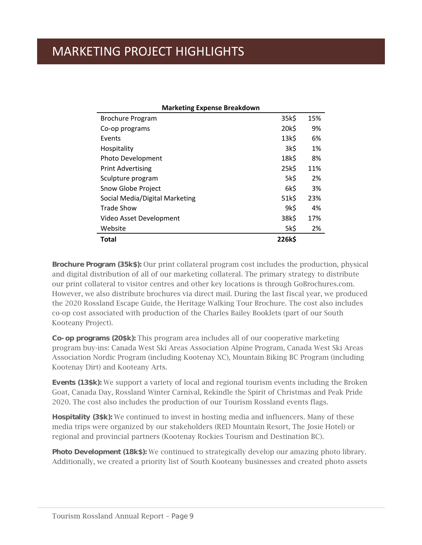| <b>Marketing Expense Breakdown</b> |        |     |  |
|------------------------------------|--------|-----|--|
| <b>Brochure Program</b>            | 35k\$  | 15% |  |
| Co-op programs                     | 20k\$  | 9%  |  |
| Events                             | 13k\$  | 6%  |  |
| Hospitality                        | 3k\$   | 1%  |  |
| Photo Development                  | 18k\$  | 8%  |  |
| <b>Print Advertising</b>           | 25k\$  | 11% |  |
| Sculpture program                  | 5k\$   | 2%  |  |
| Snow Globe Project                 | 6k\$   | 3%  |  |
| Social Media/Digital Marketing     | 51k\$  | 23% |  |
| Trade Show                         | 9k\$   | 4%  |  |
| Video Asset Development            | 38k\$  | 17% |  |
| Website                            | 5k\$   | 2%  |  |
| Total                              | 226k\$ |     |  |

Brochure Program (35k\$): Our print collateral program cost includes the production, physical and digital distribution of all of our marketing collateral. The primary strategy to distribute our print collateral to visitor centres and other key locations is through GoBrochures.com. However, we also distribute brochures via direct mail. During the last fiscal year, we produced the 2020 Rossland Escape Guide, the Heritage Walking Tour Brochure. The cost also includes co-op cost associated with production of the Charles Bailey Booklets (part of our South Kooteany Project).

Co-op programs (20\$k): This program area includes all of our cooperative marketing program buy-ins: Canada West Ski Areas Association Alpine Program, Canada West Ski Areas Association Nordic Program (including Kootenay XC), Mountain Biking BC Program (including Kootenay Dirt) and Kooteany Arts.

Events (13\$k): We support a variety of local and regional tourism events including the Broken Goat, Canada Day, Rossland Winter Carnival, Rekindle the Spirit of Christmas and Peak Pride 2020. The cost also includes the production of our Tourism Rossland events flags.

Hospitality (3\$k): We continued to invest in hosting media and influencers. Many of these media trips were organized by our stakeholders (RED Mountain Resort, The Josie Hotel) or regional and provincial partners (Kootenay Rockies Tourism and Destination BC).

**Photo Development (18k\$):** We continued to strategically develop our amazing photo library. Additionally, we created a priority list of South Kooteany businesses and created photo assets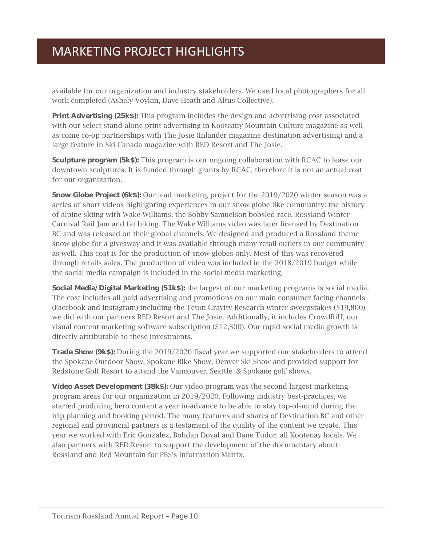available for our organization and industry stakeholders. We used local photographers for all work completed (Ashely Voykin, Dave Heath and Altus Collective).

**Print Advertising (25k\$):** This program includes the design and advertising cost associated with our select stand-alone print advertising in Kooteany Mountain Culture magazine as well as come co-op partnerships with The Josie (Inlander magazine destination advertising) and a large feature in Ski Canada magazine with RED Resort and The Josie.

**Sculpture program (5k\$):** This program is our ongoing collaboration with RCAC to lease our downtown sculptures. It is funded through grants by RCAC, therefore it is not an actual cost for our organization.

**Snow Globe Project (6k\$):** Our lead marketing project for the 2019/2020 winter season was a series of short videos highlighting experiences in our snow globe-like community: the history of alpine skiing with Wake Williams, the Bobby Samuelson bobsled race, Rossland Winter Carnival Rail Jam and fat biking. The Wake Williams video was later licensed by Destination BC and was released on their global channels. We designed and produced a Rossland theme snow globe for a giveaway and it was available through many retail outlets in our community as well. This cost is for the production of snow globes only. Most of this was recovered through retails sales. The production of video was included in the 2018/2019 budget while the social media campaign is included in the social media marketing.

Social Media/Digital Marketing (51k\$): the largest of our marketing programs is social media. The cost includes all paid advertising and promotions on our main consumer facing channels (Facebook and Instagram) including the Teton Gravity Research winter sweepstakes (\$19,800) we did with our partners RED Resort and The Josie. Additionally, it includes CrowdRiff, our visual content marketing software subscription (\$12,300). Our rapid social media growth is directly attributable to these investments.

**Trade Show (9k\$):** During the 2019/2020 fiscal year we supported our stakeholders to attend the Spokane Outdoor Show, Spokane Bike Show, Denver Ski Show and provided support for Redstone Golf Resort to attend the Vancouver, Seattle & Spokane golf shows.

**Video Asset Development (38k\$):** Our video program was the second largest marketing program areas for our organization in 2019/2020. Following industry best-practices, we started producing hero content a year in-advance to be able to stay top-of-mind during the trip planning and booking period. The many features and shares of Destination BC and other regional and provincial partners is a testament of the quality of the content we create. This year we worked with Eric Gonzalez, Bohdan Doval and Dane Tudor, all Kootenay locals. We also partners with RED Resort to support the development of the documentary about Rossland and Red Mountain for PBS's Information Matrix.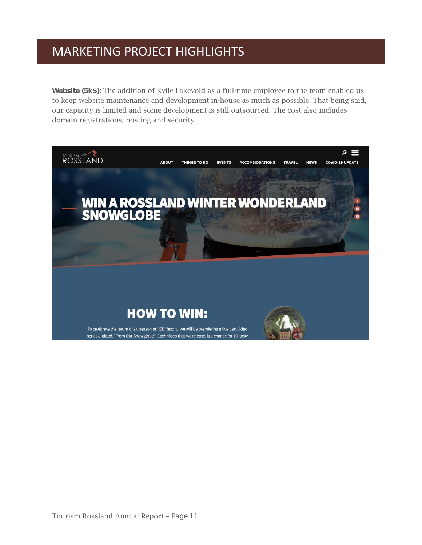Website (5k\$): The addition of Kylie Lakevold as a full-time employee to the team enabled us to keep website maintenance and development in-house as much as possible. That being said, our capacity is limited and some development is still outsourced. The cost also includes domain registrations, hosting and security.

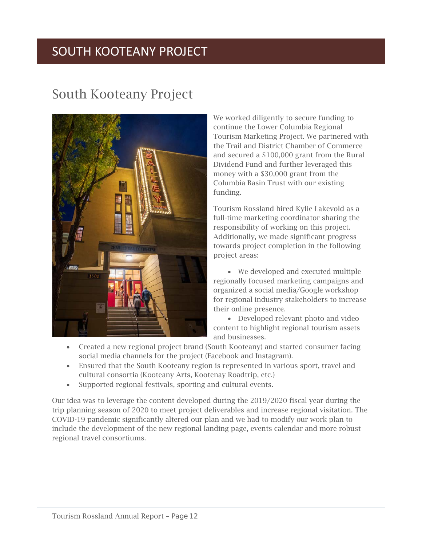# SOUTH KOOTEANY PROJECT

# <span id="page-13-0"></span>South Kooteany Project



We worked diligently to secure funding to continue the Lower Columbia Regional Tourism Marketing Project. We partnered with the Trail and District Chamber of Commerce and secured a \$100,000 grant from the Rural Dividend Fund and further leveraged this money with a \$30,000 grant from the Columbia Basin Trust with our existing funding.

Tourism Rossland hired Kylie Lakevold as a full-time marketing coordinator sharing the responsibility of working on this project. Additionally, we made significant progress towards project completion in the following project areas:

• We developed and executed multiple regionally focused marketing campaigns and organized a social media/Google workshop for regional industry stakeholders to increase their online presence.

• Developed relevant photo and video content to highlight regional tourism assets and businesses.

- Created a new regional project brand (South Kooteany) and started consumer facing social media channels for the project (Facebook and Instagram).
- Ensured that the South Kooteany region is represented in various sport, travel and cultural consortia (Kooteany Arts, Kootenay Roadtrip, etc.)
- Supported regional festivals, sporting and cultural events.

Our idea was to leverage the content developed during the 2019/2020 fiscal year during the trip planning season of 2020 to meet project deliverables and increase regional visitation. The COVID-19 pandemic significantly altered our plan and we had to modify our work plan to include the development of the new regional landing page, events calendar and more robust regional travel consortiums.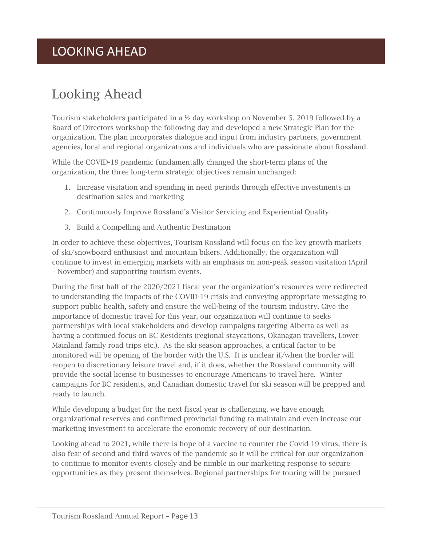# LOOKING AHEAD

# <span id="page-14-0"></span>Looking Ahead

Tourism stakeholders participated in a  $\frac{1}{2}$  day workshop on November 5, 2019 followed by a Board of Directors workshop the following day and developed a new Strategic Plan for the organization. The plan incorporates dialogue and input from industry partners, government agencies, local and regional organizations and individuals who are passionate about Rossland.

While the COVID-19 pandemic fundamentally changed the short-term plans of the organization, the three long-term strategic objectives remain unchanged:

- 1. Increase visitation and spending in need periods through effective investments in destination sales and marketing
- 2. Continuously Improve Rossland's Visitor Servicing and Experiential Quality
- 3. Build a Compelling and Authentic Destination

In order to achieve these objectives, Tourism Rossland will focus on the key growth markets of ski/snowboard enthusiast and mountain bikers. Additionally, the organization will continue to invest in emerging markets with an emphasis on non-peak season visitation (April – November) and supporting tourism events.

During the first half of the 2020/2021 fiscal year the organization's resources were redirected to understanding the impacts of the COVID-19 crisis and conveying appropriate messaging to support public health, safety and ensure the well-being of the tourism industry. Give the importance of domestic travel for this year, our organization will continue to seeks partnerships with local stakeholders and develop campaigns targeting Alberta as well as having a continued focus on BC Residents (regional staycations, Okanagan travellers, Lower Mainland family road trips etc.). As the ski season approaches, a critical factor to be monitored will be opening of the border with the U.S. It is unclear if/when the border will reopen to discretionary leisure travel and, if it does, whether the Rossland community will provide the social license to businesses to encourage Americans to travel here. Winter campaigns for BC residents, and Canadian domestic travel for ski season will be prepped and ready to launch.

While developing a budget for the next fiscal year is challenging, we have enough organizational reserves and confirmed provincial funding to maintain and even increase our marketing investment to accelerate the economic recovery of our destination.

Looking ahead to 2021, while there is hope of a vaccine to counter the Covid-19 virus, there is also fear of second and third waves of the pandemic so it will be critical for our organization to continue to monitor events closely and be nimble in our marketing response to secure opportunities as they present themselves. Regional partnerships for touring will be pursued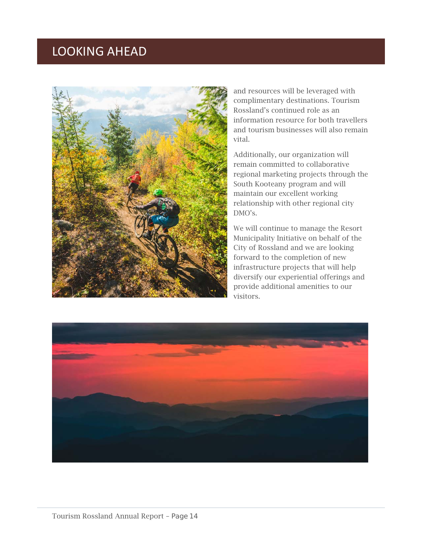# LOOKING AHEAD



and resources will be leveraged with complimentary destinations. Tourism Rossland's continued role as an information resource for both travellers and tourism businesses will also remain vital.

Additionally, our organization will remain committed to collaborative regional marketing projects through the South Kooteany program and will maintain our excellent working relationship with other regional city DMO's.

We will continue to manage the Resort Municipality Initiative on behalf of the City of Rossland and we are looking forward to the completion of new infrastructure projects that will help diversify our experiential offerings and provide additional amenities to our visitors.

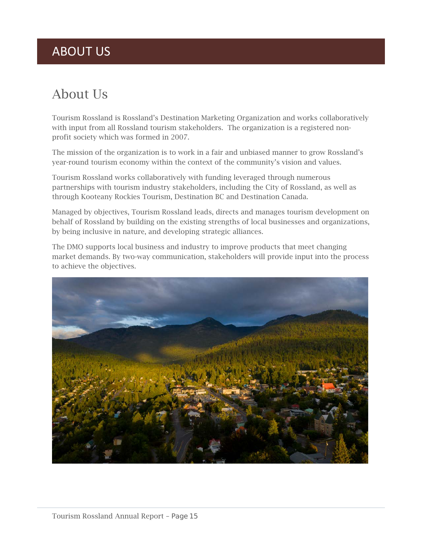# ABOUT US

# <span id="page-16-0"></span>About Us

Tourism Rossland is Rossland's Destination Marketing Organization and works collaboratively with input from all Rossland tourism stakeholders. The organization is a registered nonprofit society which was formed in 2007.

The mission of the organization is to work in a fair and unbiased manner to grow Rossland's year-round tourism economy within the context of the community's vision and values.

Tourism Rossland works collaboratively with funding leveraged through numerous partnerships with tourism industry stakeholders, including the City of Rossland, as well as through Kooteany Rockies Tourism, Destination BC and Destination Canada.

Managed by objectives, Tourism Rossland leads, directs and manages tourism development on behalf of Rossland by building on the existing strengths of local businesses and organizations, by being inclusive in nature, and developing strategic alliances.

The DMO supports local business and industry to improve products that meet changing market demands. By two-way communication, stakeholders will provide input into the process to achieve the objectives.

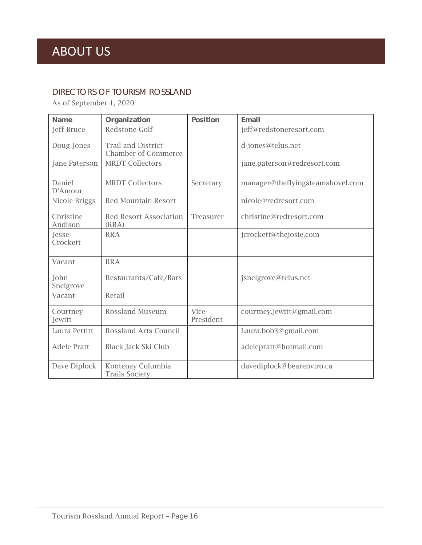### DIRECTORS OF TOURISM ROSSLAND

As of September 1, 2020

| <b>Name</b>          | <b>Organization</b>                                     | <b>Position</b>    | <b>Email</b>                     |
|----------------------|---------------------------------------------------------|--------------------|----------------------------------|
| Jeff Bruce           | Redstone Golf                                           |                    | jeff@redstoneresort.com          |
| Doug Jones           | <b>Trail and District</b><br><b>Chamber of Commerce</b> |                    | d-jones@telus.net                |
| Jane Paterson        | <b>MRDT Collectors</b>                                  |                    | jane.paterson@redresort.com      |
| Daniel<br>D'Amour    | <b>MRDT Collectors</b>                                  | Secretary          | manager@theflyingsteamshovel.com |
| Nicole Briggs        | <b>Red Mountain Resort</b>                              |                    | nicole@redresort.com             |
| Christine<br>Andison | <b>Red Resort Association</b><br>(RRA)                  | Treasurer          | christine@redresort.com          |
| Jesse<br>Crockett    | <b>RRA</b>                                              |                    | jcrockett@thejosie.com           |
| Vacant               | <b>RRA</b>                                              |                    |                                  |
| John<br>Snelgrove    | Restaurants/Cafe/Bars                                   |                    | jsnelgrove@telus.net             |
| Vacant               | Retail                                                  |                    |                                  |
| Courtney<br>Jewitt   | <b>Rossland Museum</b>                                  | Vice-<br>President | courtney.jewitt@gmail.com        |
| Laura Pettitt        | Rossland Arts Council                                   |                    | Laura.bob3@gmail.com             |
| <b>Adele Pratt</b>   | Black Jack Ski Club                                     |                    | adelepratt@hotmail.com           |
| Dave Diplock         | Kootenay Columbia<br><b>Trails Society</b>              |                    | davediplock@bearenviro.ca        |